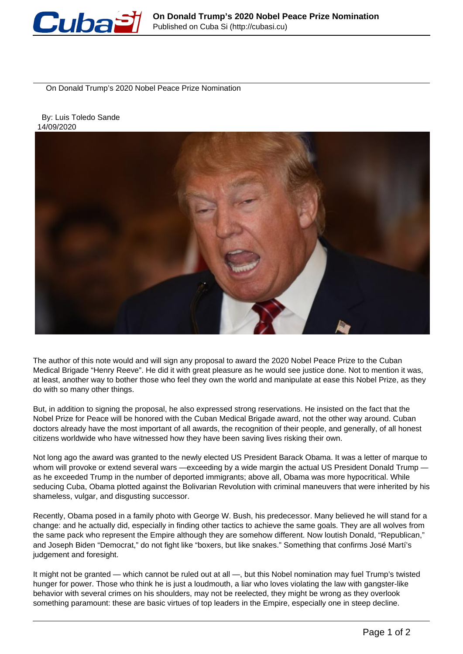

On Donald Trump's 2020 Nobel Peace Prize Nomination

 By: Luis Toledo Sande 14/09/2020



The author of this note would and will sign any proposal to award the 2020 Nobel Peace Prize to the Cuban Medical Brigade "Henry Reeve". He did it with great pleasure as he would see justice done. Not to mention it was, at least, another way to bother those who feel they own the world and manipulate at ease this Nobel Prize, as they do with so many other things.

But, in addition to signing the proposal, he also expressed strong reservations. He insisted on the fact that the Nobel Prize for Peace will be honored with the Cuban Medical Brigade award, not the other way around. Cuban doctors already have the most important of all awards, the recognition of their people, and generally, of all honest citizens worldwide who have witnessed how they have been saving lives risking their own.

Not long ago the award was granted to the newly elected US President Barack Obama. It was a letter of marque to whom will provoke or extend several wars —exceeding by a wide margin the actual US President Donald Trump as he exceeded Trump in the number of deported immigrants; above all, Obama was more hypocritical. While seducing Cuba, Obama plotted against the Bolivarian Revolution with criminal maneuvers that were inherited by his shameless, vulgar, and disgusting successor.

Recently, Obama posed in a family photo with George W. Bush, his predecessor. Many believed he will stand for a change: and he actually did, especially in finding other tactics to achieve the same goals. They are all wolves from the same pack who represent the Empire although they are somehow different. Now loutish Donald, "Republican," and Joseph Biden "Democrat," do not fight like "boxers, but like snakes." Something that confirms José Martí's judgement and foresight.

It might not be granted — which cannot be ruled out at all —, but this Nobel nomination may fuel Trump's twisted hunger for power. Those who think he is just a loudmouth, a liar who loves violating the law with gangster-like behavior with several crimes on his shoulders, may not be reelected, they might be wrong as they overlook something paramount: these are basic virtues of top leaders in the Empire, especially one in steep decline.